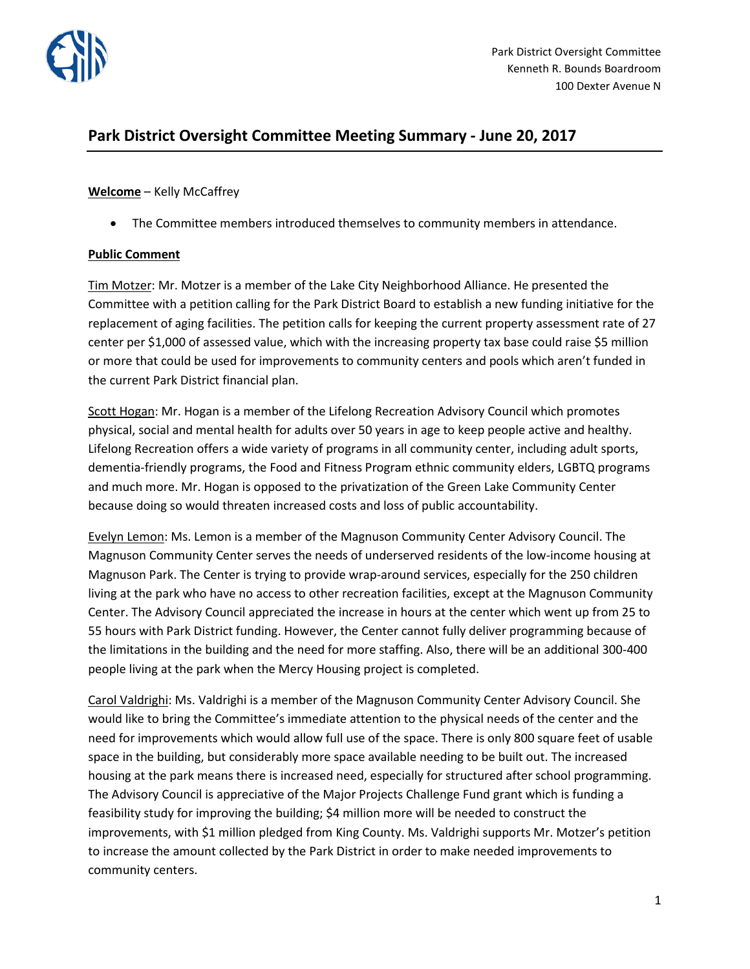

# **Park District Oversight Committee Meeting Summary - June 20, 2017**

### **Welcome** – Kelly McCaffrey

• The Committee members introduced themselves to community members in attendance.

## **Public Comment**

Tim Motzer: Mr. Motzer is a member of the Lake City Neighborhood Alliance. He presented the Committee with a petition calling for the Park District Board to establish a new funding initiative for the replacement of aging facilities. The petition calls for keeping the current property assessment rate of 27 center per \$1,000 of assessed value, which with the increasing property tax base could raise \$5 million or more that could be used for improvements to community centers and pools which aren't funded in the current Park District financial plan.

Scott Hogan: Mr. Hogan is a member of the Lifelong Recreation Advisory Council which promotes physical, social and mental health for adults over 50 years in age to keep people active and healthy. Lifelong Recreation offers a wide variety of programs in all community center, including adult sports, dementia-friendly programs, the Food and Fitness Program ethnic community elders, LGBTQ programs and much more. Mr. Hogan is opposed to the privatization of the Green Lake Community Center because doing so would threaten increased costs and loss of public accountability.

Evelyn Lemon: Ms. Lemon is a member of the Magnuson Community Center Advisory Council. The Magnuson Community Center serves the needs of underserved residents of the low-income housing at Magnuson Park. The Center is trying to provide wrap-around services, especially for the 250 children living at the park who have no access to other recreation facilities, except at the Magnuson Community Center. The Advisory Council appreciated the increase in hours at the center which went up from 25 to 55 hours with Park District funding. However, the Center cannot fully deliver programming because of the limitations in the building and the need for more staffing. Also, there will be an additional 300-400 people living at the park when the Mercy Housing project is completed.

Carol Valdrighi: Ms. Valdrighi is a member of the Magnuson Community Center Advisory Council. She would like to bring the Committee's immediate attention to the physical needs of the center and the need for improvements which would allow full use of the space. There is only 800 square feet of usable space in the building, but considerably more space available needing to be built out. The increased housing at the park means there is increased need, especially for structured after school programming. The Advisory Council is appreciative of the Major Projects Challenge Fund grant which is funding a feasibility study for improving the building; \$4 million more will be needed to construct the improvements, with \$1 million pledged from King County. Ms. Valdrighi supports Mr. Motzer's petition to increase the amount collected by the Park District in order to make needed improvements to community centers.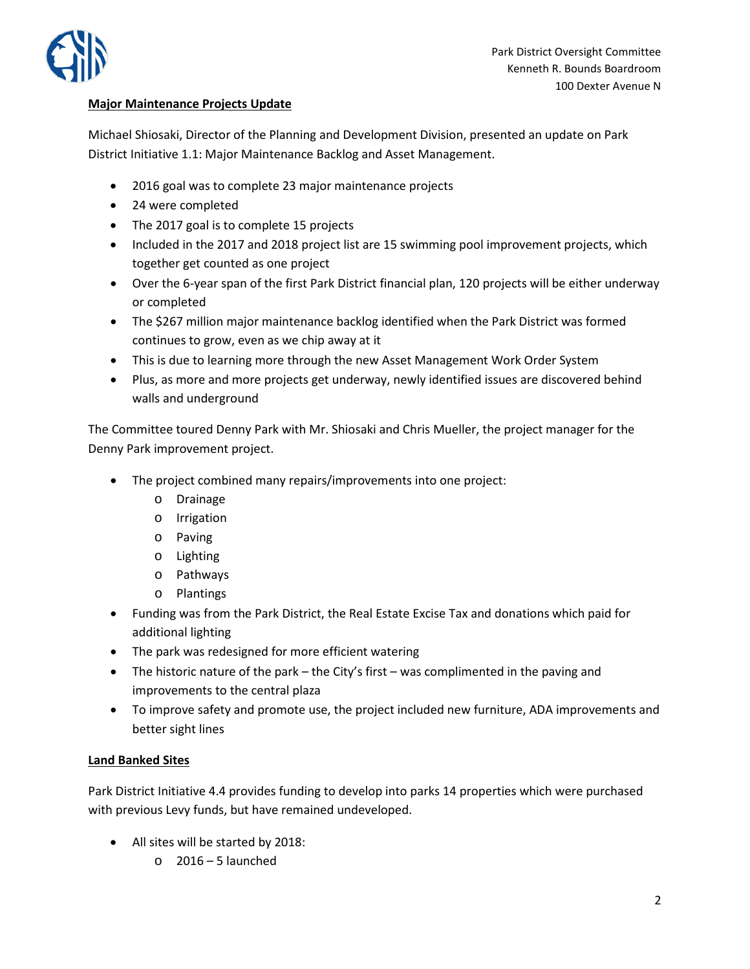

## **Major Maintenance Projects Update**

Michael Shiosaki, Director of the Planning and Development Division, presented an update on Park District Initiative 1.1: Major Maintenance Backlog and Asset Management.

- 2016 goal was to complete 23 major maintenance projects
- 24 were completed
- The 2017 goal is to complete 15 projects
- Included in the 2017 and 2018 project list are 15 swimming pool improvement projects, which together get counted as one project
- Over the 6-year span of the first Park District financial plan, 120 projects will be either underway or completed
- The \$267 million major maintenance backlog identified when the Park District was formed continues to grow, even as we chip away at it
- This is due to learning more through the new Asset Management Work Order System
- Plus, as more and more projects get underway, newly identified issues are discovered behind walls and underground

The Committee toured Denny Park with Mr. Shiosaki and Chris Mueller, the project manager for the Denny Park improvement project.

- The project combined many repairs/improvements into one project:
	- o Drainage
	- o Irrigation
	- o Paving
	- o Lighting
	- o Pathways
	- o Plantings
- Funding was from the Park District, the Real Estate Excise Tax and donations which paid for additional lighting
- The park was redesigned for more efficient watering
- The historic nature of the park the City's first was complimented in the paving and improvements to the central plaza
- To improve safety and promote use, the project included new furniture, ADA improvements and better sight lines

## **Land Banked Sites**

Park District Initiative 4.4 provides funding to develop into parks 14 properties which were purchased with previous Levy funds, but have remained undeveloped.

- All sites will be started by 2018:
	- $\circ$  2016 5 launched